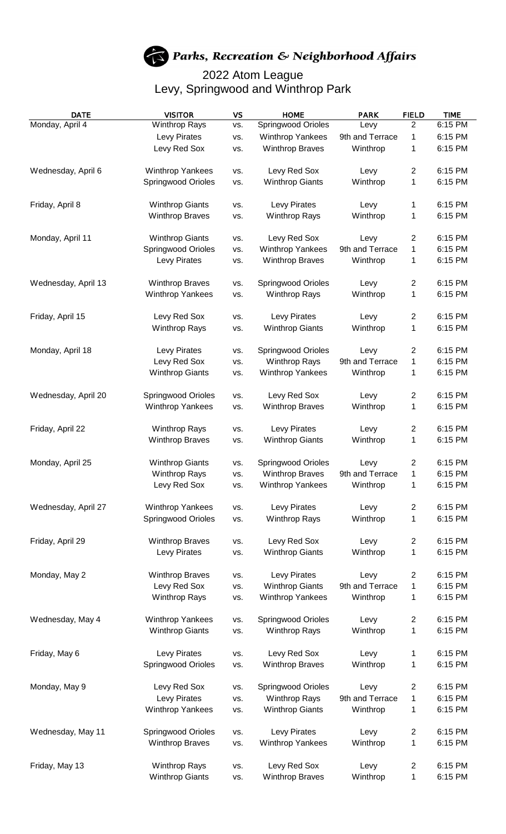## Parks, Recreation & Neighborhood Affairs

## 2022 Atom League Levy, Springwood and Winthrop Park

| <b>DATE</b>         | <b>VISITOR</b>            | VS         | <b>HOME</b>               | <b>PARK</b>     | <b>FIELD</b>            | <b>TIME</b> |
|---------------------|---------------------------|------------|---------------------------|-----------------|-------------------------|-------------|
| Monday, April 4     | <b>Winthrop Rays</b>      | VS.        | Springwood Orioles        | Levy            | $\overline{2}$          | 6:15 PM     |
|                     | Levy Pirates              | VS.        | <b>Winthrop Yankees</b>   | 9th and Terrace | 1                       | 6:15 PM     |
|                     | Levy Red Sox              | VS.        | <b>Winthrop Braves</b>    | Winthrop        | 1                       | 6:15 PM     |
| Wednesday, April 6  | <b>Winthrop Yankees</b>   | VS.        | Levy Red Sox              | Levy            | 2                       | 6:15 PM     |
|                     | Springwood Orioles        | VS.        | <b>Winthrop Giants</b>    | Winthrop        | 1                       | 6:15 PM     |
| Friday, April 8     | <b>Winthrop Giants</b>    | VS.        | Levy Pirates              | Levy            | 1                       | 6:15 PM     |
|                     | <b>Winthrop Braves</b>    | VS.        | <b>Winthrop Rays</b>      | Winthrop        | 1                       | 6:15 PM     |
| Monday, April 11    | <b>Winthrop Giants</b>    | VS.        | Levy Red Sox              | Levy            | $\overline{c}$          | 6:15 PM     |
|                     | Springwood Orioles        | VS.        | <b>Winthrop Yankees</b>   | 9th and Terrace | 1                       | 6:15 PM     |
|                     | Levy Pirates              | VS.        | <b>Winthrop Braves</b>    | Winthrop        | 1                       | 6:15 PM     |
| Wednesday, April 13 | <b>Winthrop Braves</b>    | VS.        | <b>Springwood Orioles</b> | Levy            | 2                       | 6:15 PM     |
|                     | <b>Winthrop Yankees</b>   | VS.        | <b>Winthrop Rays</b>      | Winthrop        | 1                       | 6:15 PM     |
| Friday, April 15    | Levy Red Sox              | VS.        | Levy Pirates              | Levy            | 2                       | 6:15 PM     |
|                     | <b>Winthrop Rays</b>      | VS.        | <b>Winthrop Giants</b>    | Winthrop        | 1                       | 6:15 PM     |
|                     |                           |            |                           |                 |                         |             |
| Monday, April 18    | Levy Pirates              | VS.        | <b>Springwood Orioles</b> | Levy            | $\mathbf{2}$            | 6:15 PM     |
|                     | Levy Red Sox              | VS.        | <b>Winthrop Rays</b>      | 9th and Terrace | 1                       | 6:15 PM     |
|                     | <b>Winthrop Giants</b>    | VS.        | <b>Winthrop Yankees</b>   | Winthrop        | 1                       | 6:15 PM     |
| Wednesday, April 20 | <b>Springwood Orioles</b> | VS.        | Levy Red Sox              | Levy            | $\overline{\mathbf{c}}$ | 6:15 PM     |
|                     | <b>Winthrop Yankees</b>   | VS.        | <b>Winthrop Braves</b>    | Winthrop        | 1                       | 6:15 PM     |
| Friday, April 22    | <b>Winthrop Rays</b>      | VS.        | <b>Levy Pirates</b>       | Levy            | 2                       | 6:15 PM     |
|                     | <b>Winthrop Braves</b>    | VS.        | <b>Winthrop Giants</b>    | Winthrop        | 1                       | 6:15 PM     |
| Monday, April 25    | <b>Winthrop Giants</b>    | VS.        | Springwood Orioles        | Levy            | 2                       | 6:15 PM     |
|                     | <b>Winthrop Rays</b>      | VS.        | <b>Winthrop Braves</b>    | 9th and Terrace | 1                       | 6:15 PM     |
|                     | Levy Red Sox              | VS.        | <b>Winthrop Yankees</b>   | Winthrop        | 1                       | 6:15 PM     |
| Wednesday, April 27 | Winthrop Yankees          | VS.        | Levy Pirates              | Levy            | 2                       | 6:15 PM     |
|                     | Springwood Orioles        | VS.        | <b>Winthrop Rays</b>      | Winthrop        | 1                       | 6:15 PM     |
| Friday, April 29    | <b>Winthrop Braves</b>    | VS.        | Levy Red Sox              | Levy            | $\overline{c}$          | 6:15 PM     |
|                     | Levy Pirates              | VS.        | <b>Winthrop Giants</b>    | Winthrop        | 1                       | 6:15 PM     |
|                     |                           |            |                           |                 |                         |             |
| Monday, May 2       | <b>Winthrop Braves</b>    | VS.        | Levy Pirates              | Levy            | $\overline{\mathbf{c}}$ | 6:15 PM     |
|                     | Levy Red Sox              | VS.        | <b>Winthrop Giants</b>    | 9th and Terrace | 1                       | 6:15 PM     |
|                     | <b>Winthrop Rays</b>      | VS.        | <b>Winthrop Yankees</b>   | Winthrop        | 1                       | 6:15 PM     |
| Wednesday, May 4    | <b>Winthrop Yankees</b>   | VS.        | Springwood Orioles        | Levy            | $\overline{c}$          | 6:15 PM     |
|                     | <b>Winthrop Giants</b>    | VS.        | <b>Winthrop Rays</b>      | Winthrop        | 1                       | 6:15 PM     |
| Friday, May 6       | Levy Pirates              | VS.        | Levy Red Sox              | Levy            | 1                       | 6:15 PM     |
|                     | Springwood Orioles        | VS.        | <b>Winthrop Braves</b>    | Winthrop        | 1                       | 6:15 PM     |
| Monday, May 9       | Levy Red Sox              |            | Springwood Orioles        | Levy            | 2                       | 6:15 PM     |
|                     | Levy Pirates              | VS.<br>VS. | <b>Winthrop Rays</b>      | 9th and Terrace | 1                       | 6:15 PM     |
|                     | <b>Winthrop Yankees</b>   | VS.        | <b>Winthrop Giants</b>    | Winthrop        | 1                       | 6:15 PM     |
|                     |                           |            |                           |                 |                         |             |
| Wednesday, May 11   | <b>Springwood Orioles</b> | VS.        | Levy Pirates              | Levy            | 2                       | 6:15 PM     |
|                     | <b>Winthrop Braves</b>    | VS.        | <b>Winthrop Yankees</b>   | Winthrop        | 1                       | 6:15 PM     |
| Friday, May 13      | <b>Winthrop Rays</b>      | VS.        | Levy Red Sox              | Levy            | $\overline{c}$          | 6:15 PM     |
|                     | <b>Winthrop Giants</b>    | VS.        | <b>Winthrop Braves</b>    | Winthrop        | 1                       | 6:15 PM     |